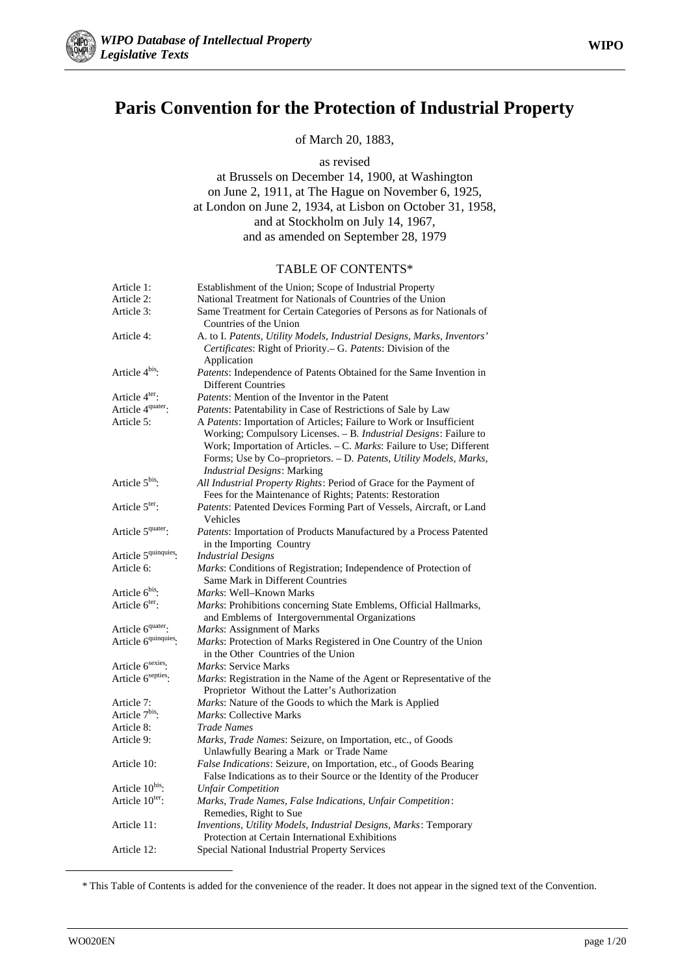

# **Paris Convention for the Protection of Industrial Property**

of March 20, 1883,

as revised

at Brussels on December 14, 1900, at Washington on June 2, 1911, at The Hague on November 6, 1925, at London on June 2, 1934, at Lisbon on October 31, 1958, and at Stockholm on July 14, 1967, and as amended on September 28, 1979

#### TABLE OF CONTENTS\*

| Article 1:                       | Establishment of the Union; Scope of Industrial Property                                                                                                                                                                                                                                                                     |
|----------------------------------|------------------------------------------------------------------------------------------------------------------------------------------------------------------------------------------------------------------------------------------------------------------------------------------------------------------------------|
| Article 2:                       | National Treatment for Nationals of Countries of the Union                                                                                                                                                                                                                                                                   |
| Article 3:                       | Same Treatment for Certain Categories of Persons as for Nationals of<br>Countries of the Union                                                                                                                                                                                                                               |
| Article 4:                       | A. to I. Patents, Utility Models, Industrial Designs, Marks, Inventors'<br>Certificates: Right of Priority.- G. Patents: Division of the                                                                                                                                                                                     |
|                                  | Application                                                                                                                                                                                                                                                                                                                  |
| Article 4bis:                    | Patents: Independence of Patents Obtained for the Same Invention in<br><b>Different Countries</b>                                                                                                                                                                                                                            |
| Article 4 <sup>ter</sup> :       | <i>Patents:</i> Mention of the Inventor in the Patent                                                                                                                                                                                                                                                                        |
| Article 4 <sup>quater</sup> :    | Patents: Patentability in Case of Restrictions of Sale by Law                                                                                                                                                                                                                                                                |
| Article 5:                       | A Patents: Importation of Articles; Failure to Work or Insufficient<br>Working; Compulsory Licenses. - B. Industrial Designs: Failure to<br>Work; Importation of Articles. - C. Marks: Failure to Use; Different<br>Forms; Use by Co-proprietors. - D. Patents, Utility Models, Marks,<br><b>Industrial Designs: Marking</b> |
| Article 5 <sup>bis</sup> :       | All Industrial Property Rights: Period of Grace for the Payment of<br>Fees for the Maintenance of Rights; Patents: Restoration                                                                                                                                                                                               |
| Article 5ter:                    | Patents: Patented Devices Forming Part of Vessels, Aircraft, or Land<br>Vehicles                                                                                                                                                                                                                                             |
| Article 5 <sup>quater</sup> :    | Patents: Importation of Products Manufactured by a Process Patented<br>in the Importing Country                                                                                                                                                                                                                              |
| Article 5 <sup>quinquies</sup> : | <b>Industrial Designs</b>                                                                                                                                                                                                                                                                                                    |
| Article 6:                       | Marks: Conditions of Registration; Independence of Protection of<br>Same Mark in Different Countries                                                                                                                                                                                                                         |
| Article 6 <sup>bis</sup> :       | <i>Marks</i> : Well-Known Marks                                                                                                                                                                                                                                                                                              |
| Article 6 <sup>ter</sup> :       | Marks: Prohibitions concerning State Emblems, Official Hallmarks,<br>and Emblems of Intergovernmental Organizations                                                                                                                                                                                                          |
| Article 6 <sup>quater</sup> :    | Marks: Assignment of Marks                                                                                                                                                                                                                                                                                                   |
| Article 6 <sup>quinquies</sup> : | Marks: Protection of Marks Registered in One Country of the Union<br>in the Other Countries of the Union                                                                                                                                                                                                                     |
| Article 6 <sup>sexies</sup> :    | Marks: Service Marks                                                                                                                                                                                                                                                                                                         |
| Article 6 <sup>septies</sup> :   | Marks: Registration in the Name of the Agent or Representative of the<br>Proprietor Without the Latter's Authorization                                                                                                                                                                                                       |
| Article 7:                       | <i>Marks:</i> Nature of the Goods to which the Mark is Applied                                                                                                                                                                                                                                                               |
| Article 7bis:                    | Marks: Collective Marks                                                                                                                                                                                                                                                                                                      |
| Article 8:                       | <b>Trade Names</b>                                                                                                                                                                                                                                                                                                           |
| Article 9:                       | Marks, Trade Names: Seizure, on Importation, etc., of Goods<br>Unlawfully Bearing a Mark or Trade Name                                                                                                                                                                                                                       |
| Article 10:                      | False Indications: Seizure, on Importation, etc., of Goods Bearing<br>False Indications as to their Source or the Identity of the Producer                                                                                                                                                                                   |
| Article 10bis:                   | <b>Unfair Competition</b>                                                                                                                                                                                                                                                                                                    |
| Article 10ter:                   | Marks, Trade Names, False Indications, Unfair Competition:<br>Remedies, Right to Sue                                                                                                                                                                                                                                         |
| Article 11:                      | Inventions, Utility Models, Industrial Designs, Marks: Temporary<br>Protection at Certain International Exhibitions                                                                                                                                                                                                          |
| Article 12:                      | Special National Industrial Property Services                                                                                                                                                                                                                                                                                |

\* This Table of Contents is added for the convenience of the reader. It does not appear in the signed text of the Convention.

 $\overline{\phantom{a}}$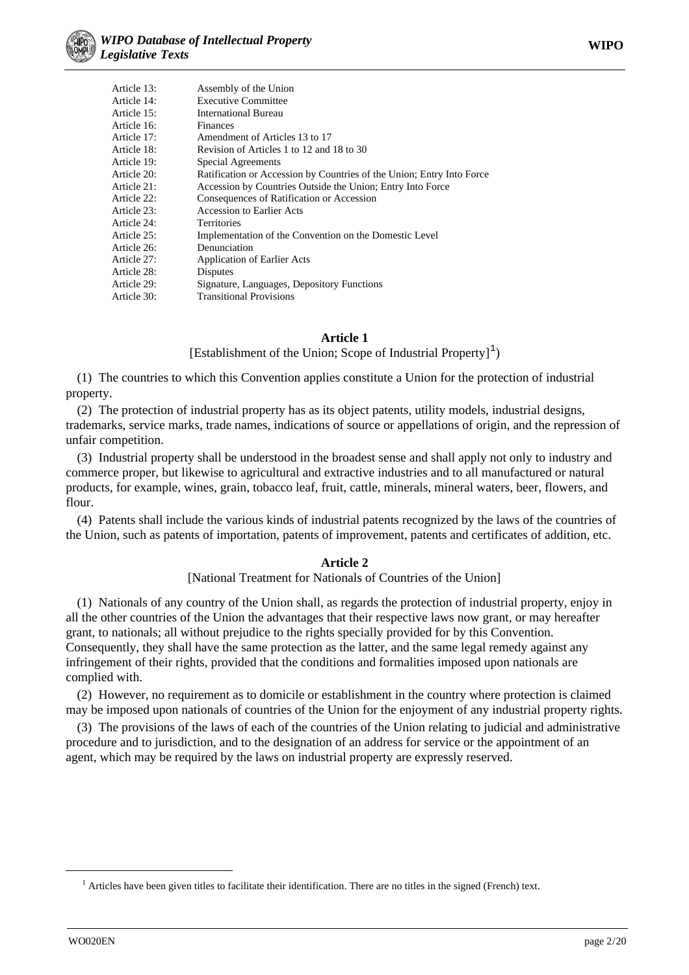| Article 13: | Assembly of the Union                                                 |
|-------------|-----------------------------------------------------------------------|
| Article 14: | <b>Executive Committee</b>                                            |
| Article 15: | <b>International Bureau</b>                                           |
| Article 16: | <b>Finances</b>                                                       |
| Article 17: | Amendment of Articles 13 to 17                                        |
| Article 18: | Revision of Articles 1 to 12 and 18 to 30                             |
| Article 19: | Special Agreements                                                    |
| Article 20: | Ratification or Accession by Countries of the Union; Entry Into Force |
| Article 21: | Accession by Countries Outside the Union; Entry Into Force            |
| Article 22: | Consequences of Ratification or Accession                             |
| Article 23: | <b>Accession to Earlier Acts</b>                                      |
| Article 24: | <b>Territories</b>                                                    |
| Article 25: | Implementation of the Convention on the Domestic Level                |
| Article 26: | Denunciation                                                          |
| Article 27: | <b>Application of Earlier Acts</b>                                    |
| Article 28: | Disputes                                                              |
| Article 29: | Signature, Languages, Depository Functions                            |
| Article 30: | <b>Transitional Provisions</b>                                        |

[Establishment of the Union; Scope of Industrial Property] $<sup>1</sup>$ )</sup>

(1) The countries to which this Convention applies constitute a Union for the protection of industrial property.

(2) The protection of industrial property has as its object patents, utility models, industrial designs, trademarks, service marks, trade names, indications of source or appellations of origin, and the repression of unfair competition.

(3) Industrial property shall be understood in the broadest sense and shall apply not only to industry and commerce proper, but likewise to agricultural and extractive industries and to all manufactured or natural products, for example, wines, grain, tobacco leaf, fruit, cattle, minerals, mineral waters, beer, flowers, and flour.

(4) Patents shall include the various kinds of industrial patents recognized by the laws of the countries of the Union, such as patents of importation, patents of improvement, patents and certificates of addition, etc.

## **Article 2**

[National Treatment for Nationals of Countries of the Union]

(1) Nationals of any country of the Union shall, as regards the protection of industrial property, enjoy in all the other countries of the Union the advantages that their respective laws now grant, or may hereafter grant, to nationals; all without prejudice to the rights specially provided for by this Convention. Consequently, they shall have the same protection as the latter, and the same legal remedy against any infringement of their rights, provided that the conditions and formalities imposed upon nationals are complied with.

(2) However, no requirement as to domicile or establishment in the country where protection is claimed may be imposed upon nationals of countries of the Union for the enjoyment of any industrial property rights.

(3) The provisions of the laws of each of the countries of the Union relating to judicial and administrative procedure and to jurisdiction, and to the designation of an address for service or the appointment of an agent, which may be required by the laws on industrial property are expressly reserved.

 $\frac{1}{1}$ <sup>1</sup> Articles have been given titles to facilitate their identification. There are no titles in the signed (French) text.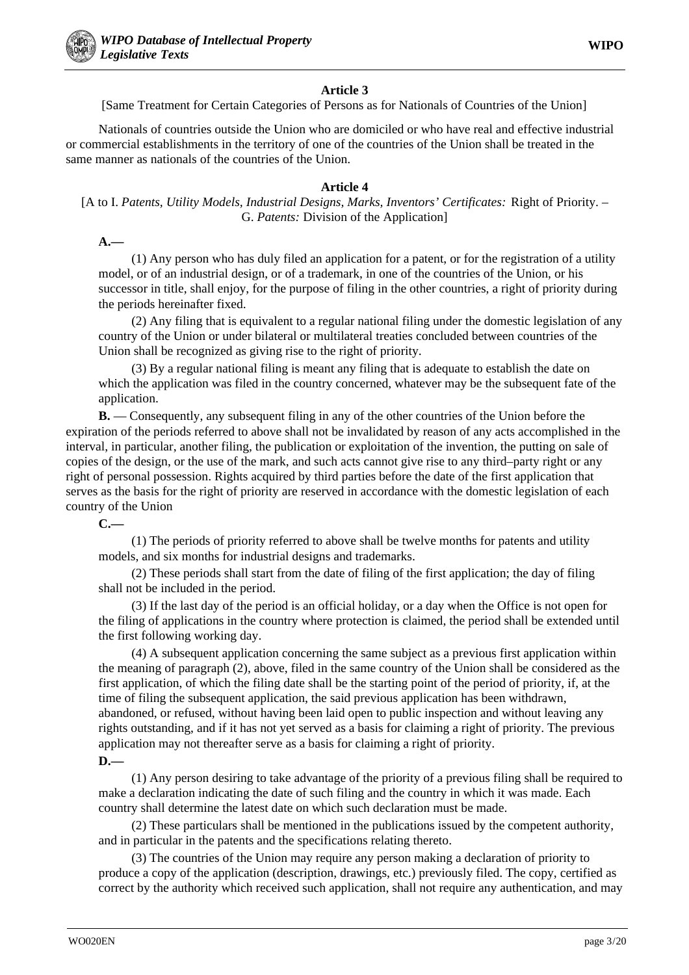[Same Treatment for Certain Categories of Persons as for Nationals of Countries of the Union]

Nationals of countries outside the Union who are domiciled or who have real and effective industrial or commercial establishments in the territory of one of the countries of the Union shall be treated in the same manner as nationals of the countries of the Union.

# **Article 4**

[A to I. *Patents, Utility Models, Industrial Designs, Marks, Inventors' Certificates:* Right of Priority. – G. *Patents:* Division of the Application]

**A.—**

(1) Any person who has duly filed an application for a patent, or for the registration of a utility model, or of an industrial design, or of a trademark, in one of the countries of the Union, or his successor in title, shall enjoy, for the purpose of filing in the other countries, a right of priority during the periods hereinafter fixed.

(2) Any filing that is equivalent to a regular national filing under the domestic legislation of any country of the Union or under bilateral or multilateral treaties concluded between countries of the Union shall be recognized as giving rise to the right of priority.

(3) By a regular national filing is meant any filing that is adequate to establish the date on which the application was filed in the country concerned, whatever may be the subsequent fate of the application.

**B.** — Consequently, any subsequent filing in any of the other countries of the Union before the expiration of the periods referred to above shall not be invalidated by reason of any acts accomplished in the interval, in particular, another filing, the publication or exploitation of the invention, the putting on sale of copies of the design, or the use of the mark, and such acts cannot give rise to any third–party right or any right of personal possession. Rights acquired by third parties before the date of the first application that serves as the basis for the right of priority are reserved in accordance with the domestic legislation of each country of the Union

**C.—**

(1) The periods of priority referred to above shall be twelve months for patents and utility models, and six months for industrial designs and trademarks.

(2) These periods shall start from the date of filing of the first application; the day of filing shall not be included in the period.

(3) If the last day of the period is an official holiday, or a day when the Office is not open for the filing of applications in the country where protection is claimed, the period shall be extended until the first following working day.

(4) A subsequent application concerning the same subject as a previous first application within the meaning of paragraph (2), above, filed in the same country of the Union shall be considered as the first application, of which the filing date shall be the starting point of the period of priority, if, at the time of filing the subsequent application, the said previous application has been withdrawn, abandoned, or refused, without having been laid open to public inspection and without leaving any rights outstanding, and if it has not yet served as a basis for claiming a right of priority. The previous application may not thereafter serve as a basis for claiming a right of priority.

**D.—**

(1) Any person desiring to take advantage of the priority of a previous filing shall be required to make a declaration indicating the date of such filing and the country in which it was made. Each country shall determine the latest date on which such declaration must be made.

(2) These particulars shall be mentioned in the publications issued by the competent authority, and in particular in the patents and the specifications relating thereto.

(3) The countries of the Union may require any person making a declaration of priority to produce a copy of the application (description, drawings, etc.) previously filed. The copy, certified as correct by the authority which received such application, shall not require any authentication, and may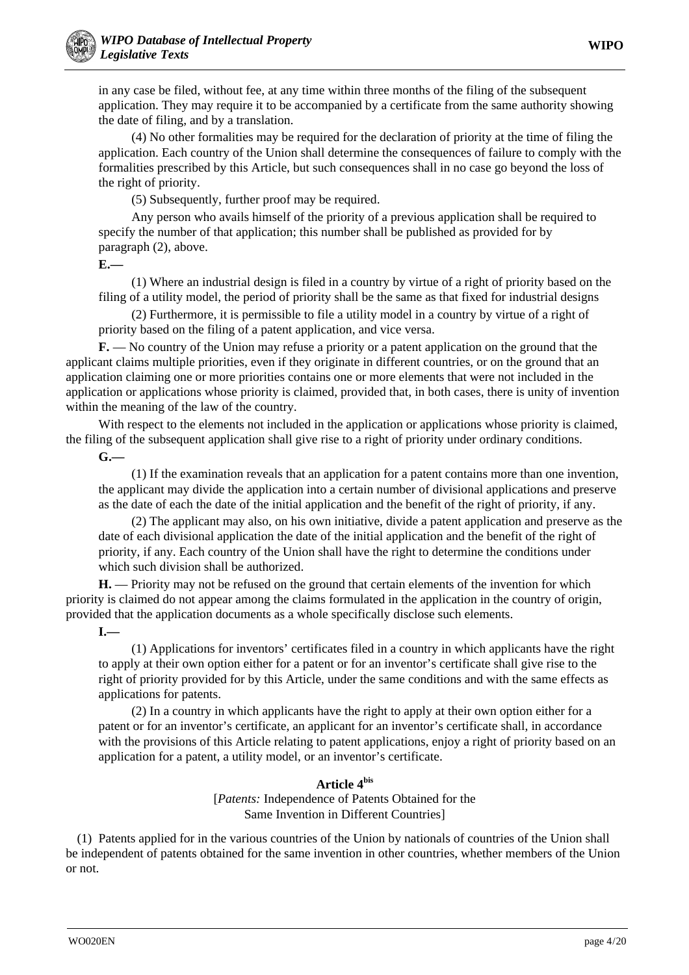in any case be filed, without fee, at any time within three months of the filing of the subsequent application. They may require it to be accompanied by a certificate from the same authority showing the date of filing, and by a translation.

(4) No other formalities may be required for the declaration of priority at the time of filing the application. Each country of the Union shall determine the consequences of failure to comply with the formalities prescribed by this Article, but such consequences shall in no case go beyond the loss of the right of priority.

(5) Subsequently, further proof may be required.

Any person who avails himself of the priority of a previous application shall be required to specify the number of that application; this number shall be published as provided for by paragraph (2), above.

**E.—**

(1) Where an industrial design is filed in a country by virtue of a right of priority based on the filing of a utility model, the period of priority shall be the same as that fixed for industrial designs

(2) Furthermore, it is permissible to file a utility model in a country by virtue of a right of priority based on the filing of a patent application, and vice versa.

**F.** — No country of the Union may refuse a priority or a patent application on the ground that the applicant claims multiple priorities, even if they originate in different countries, or on the ground that an application claiming one or more priorities contains one or more elements that were not included in the application or applications whose priority is claimed, provided that, in both cases, there is unity of invention within the meaning of the law of the country.

With respect to the elements not included in the application or applications whose priority is claimed, the filing of the subsequent application shall give rise to a right of priority under ordinary conditions.

**G.—**

(1) If the examination reveals that an application for a patent contains more than one invention, the applicant may divide the application into a certain number of divisional applications and preserve as the date of each the date of the initial application and the benefit of the right of priority, if any.

(2) The applicant may also, on his own initiative, divide a patent application and preserve as the date of each divisional application the date of the initial application and the benefit of the right of priority, if any. Each country of the Union shall have the right to determine the conditions under which such division shall be authorized.

**H.** — Priority may not be refused on the ground that certain elements of the invention for which priority is claimed do not appear among the claims formulated in the application in the country of origin, provided that the application documents as a whole specifically disclose such elements.

**I.—**

(1) Applications for inventors' certificates filed in a country in which applicants have the right to apply at their own option either for a patent or for an inventor's certificate shall give rise to the right of priority provided for by this Article, under the same conditions and with the same effects as applications for patents.

(2) In a country in which applicants have the right to apply at their own option either for a patent or for an inventor's certificate, an applicant for an inventor's certificate shall, in accordance with the provisions of this Article relating to patent applications, enjoy a right of priority based on an application for a patent, a utility model, or an inventor's certificate.

# **Article 4bis**

[*Patents:* Independence of Patents Obtained for the Same Invention in Different Countries]

(1) Patents applied for in the various countries of the Union by nationals of countries of the Union shall be independent of patents obtained for the same invention in other countries, whether members of the Union or not.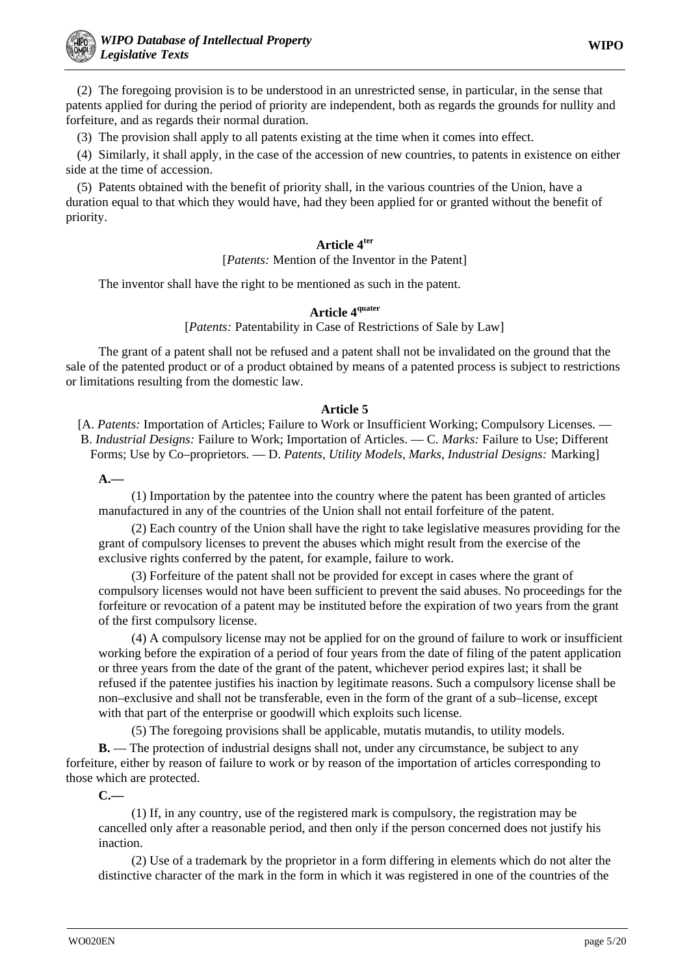(2) The foregoing provision is to be understood in an unrestricted sense, in particular, in the sense that patents applied for during the period of priority are independent, both as regards the grounds for nullity and forfeiture, and as regards their normal duration.

(3) The provision shall apply to all patents existing at the time when it comes into effect.

(4) Similarly, it shall apply, in the case of the accession of new countries, to patents in existence on either side at the time of accession.

(5) Patents obtained with the benefit of priority shall, in the various countries of the Union, have a duration equal to that which they would have, had they been applied for or granted without the benefit of priority.

#### **Article 4ter**

#### [*Patents:* Mention of the Inventor in the Patent]

The inventor shall have the right to be mentioned as such in the patent.

# **Article 4quater**

[*Patents:* Patentability in Case of Restrictions of Sale by Law]

The grant of a patent shall not be refused and a patent shall not be invalidated on the ground that the sale of the patented product or of a product obtained by means of a patented process is subject to restrictions or limitations resulting from the domestic law.

#### **Article 5**

[A. *Patents:* Importation of Articles; Failure to Work or Insufficient Working; Compulsory Licenses. — B. *Industrial Designs:* Failure to Work; Importation of Articles. — C. *Marks:* Failure to Use; Different Forms; Use by Co–proprietors. — D. *Patents, Utility Models, Marks, Industrial Designs:* Marking]

**A.—**

(1) Importation by the patentee into the country where the patent has been granted of articles manufactured in any of the countries of the Union shall not entail forfeiture of the patent.

(2) Each country of the Union shall have the right to take legislative measures providing for the grant of compulsory licenses to prevent the abuses which might result from the exercise of the exclusive rights conferred by the patent, for example, failure to work.

(3) Forfeiture of the patent shall not be provided for except in cases where the grant of compulsory licenses would not have been sufficient to prevent the said abuses. No proceedings for the forfeiture or revocation of a patent may be instituted before the expiration of two years from the grant of the first compulsory license.

(4) A compulsory license may not be applied for on the ground of failure to work or insufficient working before the expiration of a period of four years from the date of filing of the patent application or three years from the date of the grant of the patent, whichever period expires last; it shall be refused if the patentee justifies his inaction by legitimate reasons. Such a compulsory license shall be non–exclusive and shall not be transferable, even in the form of the grant of a sub–license, except with that part of the enterprise or goodwill which exploits such license.

(5) The foregoing provisions shall be applicable, mutatis mutandis, to utility models.

**B.** — The protection of industrial designs shall not, under any circumstance, be subject to any forfeiture, either by reason of failure to work or by reason of the importation of articles corresponding to those which are protected.

**C.—**

(1) If, in any country, use of the registered mark is compulsory, the registration may be cancelled only after a reasonable period, and then only if the person concerned does not justify his inaction.

(2) Use of a trademark by the proprietor in a form differing in elements which do not alter the distinctive character of the mark in the form in which it was registered in one of the countries of the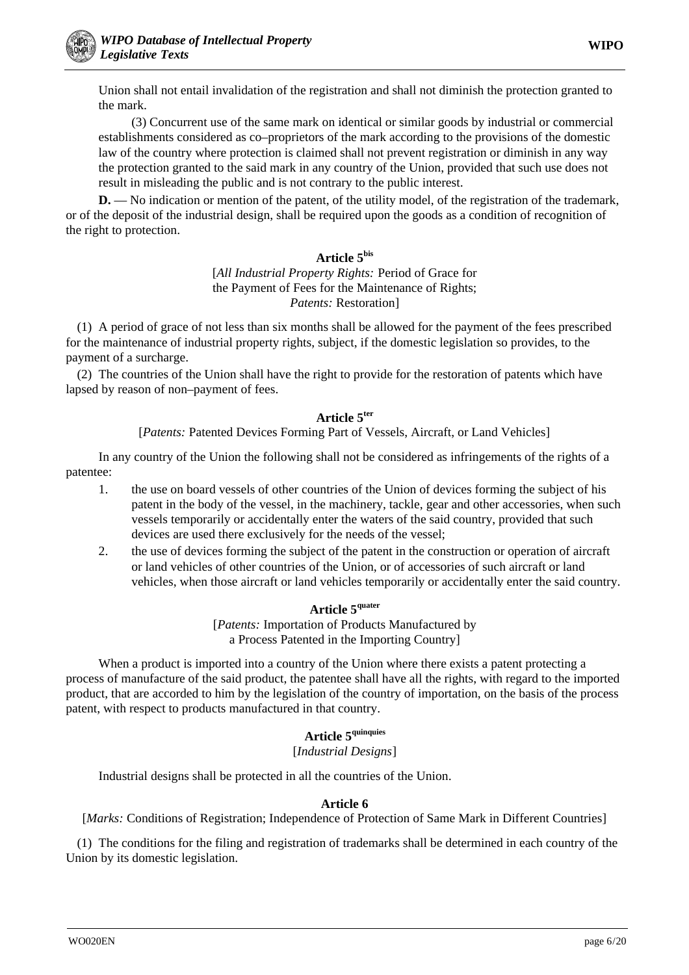Union shall not entail invalidation of the registration and shall not diminish the protection granted to the mark.

(3) Concurrent use of the same mark on identical or similar goods by industrial or commercial establishments considered as co–proprietors of the mark according to the provisions of the domestic law of the country where protection is claimed shall not prevent registration or diminish in any way the protection granted to the said mark in any country of the Union, provided that such use does not result in misleading the public and is not contrary to the public interest.

**D.** — No indication or mention of the patent, of the utility model, of the registration of the trademark, or of the deposit of the industrial design, shall be required upon the goods as a condition of recognition of the right to protection.

# **Article 5bis**

[*All Industrial Property Rights:* Period of Grace for the Payment of Fees for the Maintenance of Rights; *Patents:* Restoration]

(1) A period of grace of not less than six months shall be allowed for the payment of the fees prescribed for the maintenance of industrial property rights, subject, if the domestic legislation so provides, to the payment of a surcharge.

(2) The countries of the Union shall have the right to provide for the restoration of patents which have lapsed by reason of non–payment of fees.

# **Article 5ter**

# [*Patents:* Patented Devices Forming Part of Vessels, Aircraft, or Land Vehicles]

In any country of the Union the following shall not be considered as infringements of the rights of a patentee:

- 1. the use on board vessels of other countries of the Union of devices forming the subject of his patent in the body of the vessel, in the machinery, tackle, gear and other accessories, when such vessels temporarily or accidentally enter the waters of the said country, provided that such devices are used there exclusively for the needs of the vessel;
- 2. the use of devices forming the subject of the patent in the construction or operation of aircraft or land vehicles of other countries of the Union, or of accessories of such aircraft or land vehicles, when those aircraft or land vehicles temporarily or accidentally enter the said country.

## **Article 5quater**

[*Patents:* Importation of Products Manufactured by a Process Patented in the Importing Country]

When a product is imported into a country of the Union where there exists a patent protecting a process of manufacture of the said product, the patentee shall have all the rights, with regard to the imported product, that are accorded to him by the legislation of the country of importation, on the basis of the process patent, with respect to products manufactured in that country.

## **Article 5quinquies**

## [*Industrial Designs*]

Industrial designs shall be protected in all the countries of the Union.

## **Article 6**

[*Marks:* Conditions of Registration; Independence of Protection of Same Mark in Different Countries]

(1) The conditions for the filing and registration of trademarks shall be determined in each country of the Union by its domestic legislation.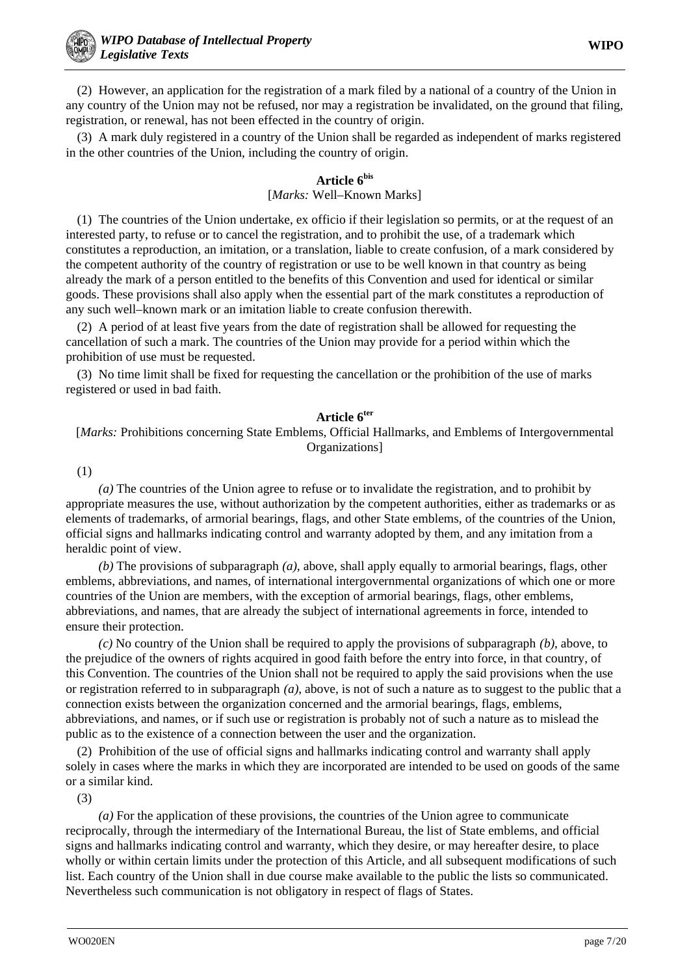(2) However, an application for the registration of a mark filed by a national of a country of the Union in any country of the Union may not be refused, nor may a registration be invalidated, on the ground that filing, registration, or renewal, has not been effected in the country of origin.

(3) A mark duly registered in a country of the Union shall be regarded as independent of marks registered in the other countries of the Union, including the country of origin.

# **Article 6bis**

# [*Marks:* Well-Known Marks]

(1) The countries of the Union undertake, ex officio if their legislation so permits, or at the request of an interested party, to refuse or to cancel the registration, and to prohibit the use, of a trademark which constitutes a reproduction, an imitation, or a translation, liable to create confusion, of a mark considered by the competent authority of the country of registration or use to be well known in that country as being already the mark of a person entitled to the benefits of this Convention and used for identical or similar goods. These provisions shall also apply when the essential part of the mark constitutes a reproduction of any such well–known mark or an imitation liable to create confusion therewith.

(2) A period of at least five years from the date of registration shall be allowed for requesting the cancellation of such a mark. The countries of the Union may provide for a period within which the prohibition of use must be requested.

(3) No time limit shall be fixed for requesting the cancellation or the prohibition of the use of marks registered or used in bad faith.

## **Article 6ter**

[*Marks:* Prohibitions concerning State Emblems, Official Hallmarks, and Emblems of Intergovernmental Organizations]

(1)

*(a)* The countries of the Union agree to refuse or to invalidate the registration, and to prohibit by appropriate measures the use, without authorization by the competent authorities, either as trademarks or as elements of trademarks, of armorial bearings, flags, and other State emblems, of the countries of the Union, official signs and hallmarks indicating control and warranty adopted by them, and any imitation from a heraldic point of view.

*(b)* The provisions of subparagraph *(a)*, above, shall apply equally to armorial bearings, flags, other emblems, abbreviations, and names, of international intergovernmental organizations of which one or more countries of the Union are members, with the exception of armorial bearings, flags, other emblems, abbreviations, and names, that are already the subject of international agreements in force, intended to ensure their protection.

*(c)* No country of the Union shall be required to apply the provisions of subparagraph *(b)*, above, to the prejudice of the owners of rights acquired in good faith before the entry into force, in that country, of this Convention. The countries of the Union shall not be required to apply the said provisions when the use or registration referred to in subparagraph *(a)*, above, is not of such a nature as to suggest to the public that a connection exists between the organization concerned and the armorial bearings, flags, emblems, abbreviations, and names, or if such use or registration is probably not of such a nature as to mislead the public as to the existence of a connection between the user and the organization.

(2) Prohibition of the use of official signs and hallmarks indicating control and warranty shall apply solely in cases where the marks in which they are incorporated are intended to be used on goods of the same or a similar kind.

(3)

*(a)* For the application of these provisions, the countries of the Union agree to communicate reciprocally, through the intermediary of the International Bureau, the list of State emblems, and official signs and hallmarks indicating control and warranty, which they desire, or may hereafter desire, to place wholly or within certain limits under the protection of this Article, and all subsequent modifications of such list. Each country of the Union shall in due course make available to the public the lists so communicated. Nevertheless such communication is not obligatory in respect of flags of States.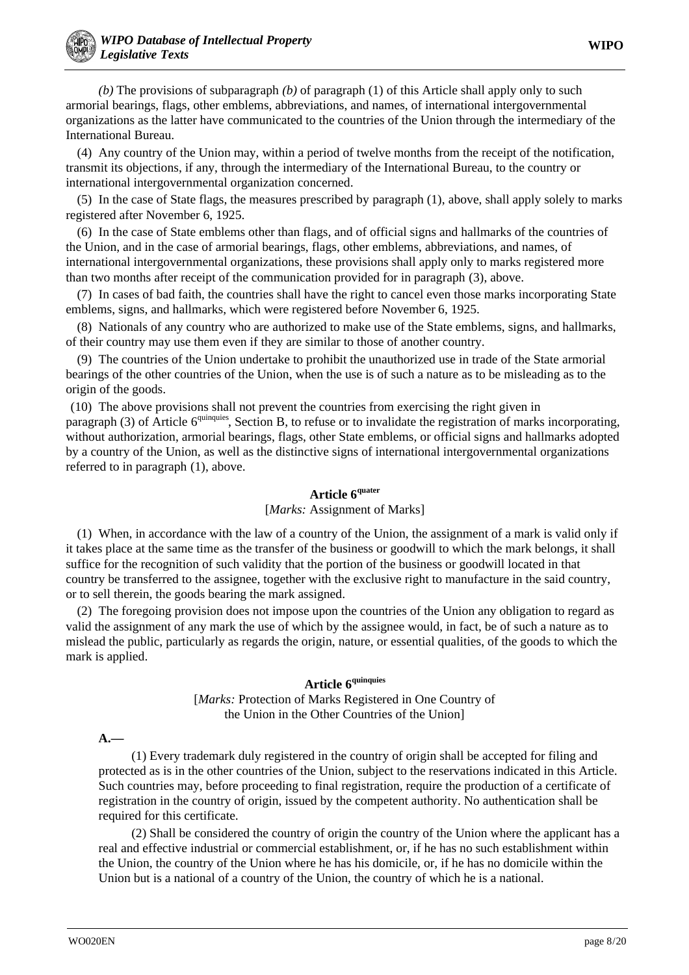*(b)* The provisions of subparagraph *(b)* of paragraph (1) of this Article shall apply only to such armorial bearings, flags, other emblems, abbreviations, and names, of international intergovernmental organizations as the latter have communicated to the countries of the Union through the intermediary of the International Bureau.

(4) Any country of the Union may, within a period of twelve months from the receipt of the notification, transmit its objections, if any, through the intermediary of the International Bureau, to the country or international intergovernmental organization concerned.

(5) In the case of State flags, the measures prescribed by paragraph (1), above, shall apply solely to marks registered after November 6, 1925.

(6) In the case of State emblems other than flags, and of official signs and hallmarks of the countries of the Union, and in the case of armorial bearings, flags, other emblems, abbreviations, and names, of international intergovernmental organizations, these provisions shall apply only to marks registered more than two months after receipt of the communication provided for in paragraph (3), above.

(7) In cases of bad faith, the countries shall have the right to cancel even those marks incorporating State emblems, signs, and hallmarks, which were registered before November 6, 1925.

(8) Nationals of any country who are authorized to make use of the State emblems, signs, and hallmarks, of their country may use them even if they are similar to those of another country.

(9) The countries of the Union undertake to prohibit the unauthorized use in trade of the State armorial bearings of the other countries of the Union, when the use is of such a nature as to be misleading as to the origin of the goods.

(10) The above provisions shall not prevent the countries from exercising the right given in paragraph (3) of Article 6<sup>quinquies</sup>, Section B, to refuse or to invalidate the registration of marks incorporating, without authorization, armorial bearings, flags, other State emblems, or official signs and hallmarks adopted by a country of the Union, as well as the distinctive signs of international intergovernmental organizations referred to in paragraph (1), above.

# **Article 6quater**

## [*Marks*: Assignment of Marks]

(1) When, in accordance with the law of a country of the Union, the assignment of a mark is valid only if it takes place at the same time as the transfer of the business or goodwill to which the mark belongs, it shall suffice for the recognition of such validity that the portion of the business or goodwill located in that country be transferred to the assignee, together with the exclusive right to manufacture in the said country, or to sell therein, the goods bearing the mark assigned.

(2) The foregoing provision does not impose upon the countries of the Union any obligation to regard as valid the assignment of any mark the use of which by the assignee would, in fact, be of such a nature as to mislead the public, particularly as regards the origin, nature, or essential qualities, of the goods to which the mark is applied.

# **Article 6quinquies**

[*Marks:* Protection of Marks Registered in One Country of the Union in the Other Countries of the Union]

## **A.—**

(1) Every trademark duly registered in the country of origin shall be accepted for filing and protected as is in the other countries of the Union, subject to the reservations indicated in this Article. Such countries may, before proceeding to final registration, require the production of a certificate of registration in the country of origin, issued by the competent authority. No authentication shall be required for this certificate.

(2) Shall be considered the country of origin the country of the Union where the applicant has a real and effective industrial or commercial establishment, or, if he has no such establishment within the Union, the country of the Union where he has his domicile, or, if he has no domicile within the Union but is a national of a country of the Union, the country of which he is a national.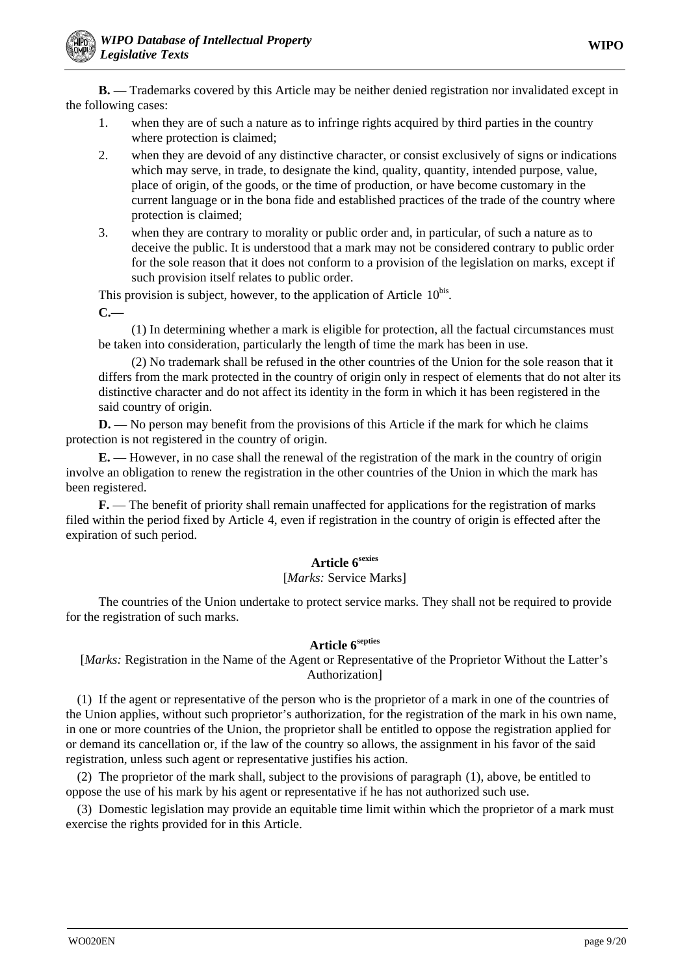**B.** — Trademarks covered by this Article may be neither denied registration nor invalidated except in the following cases:

- 1. when they are of such a nature as to infringe rights acquired by third parties in the country where protection is claimed:
- 2. when they are devoid of any distinctive character, or consist exclusively of signs or indications which may serve, in trade, to designate the kind, quality, quantity, intended purpose, value, place of origin, of the goods, or the time of production, or have become customary in the current language or in the bona fide and established practices of the trade of the country where protection is claimed;
- 3. when they are contrary to morality or public order and, in particular, of such a nature as to deceive the public. It is understood that a mark may not be considered contrary to public order for the sole reason that it does not conform to a provision of the legislation on marks, except if such provision itself relates to public order.

This provision is subject, however, to the application of Article  $10<sup>bis</sup>$ .

**C.—**

(1) In determining whether a mark is eligible for protection, all the factual circumstances must be taken into consideration, particularly the length of time the mark has been in use.

(2) No trademark shall be refused in the other countries of the Union for the sole reason that it differs from the mark protected in the country of origin only in respect of elements that do not alter its distinctive character and do not affect its identity in the form in which it has been registered in the said country of origin.

**D.** — No person may benefit from the provisions of this Article if the mark for which he claims protection is not registered in the country of origin.

**E.** — However, in no case shall the renewal of the registration of the mark in the country of origin involve an obligation to renew the registration in the other countries of the Union in which the mark has been registered.

**F.** — The benefit of priority shall remain unaffected for applications for the registration of marks filed within the period fixed by Article 4, even if registration in the country of origin is effected after the expiration of such period.

## **Article 6sexies**

## [*Marks:* Service Marks]

The countries of the Union undertake to protect service marks. They shall not be required to provide for the registration of such marks.

# **Article 6septies**

[*Marks:* Registration in the Name of the Agent or Representative of the Proprietor Without the Latter's Authorization]

(1) If the agent or representative of the person who is the proprietor of a mark in one of the countries of the Union applies, without such proprietor's authorization, for the registration of the mark in his own name, in one or more countries of the Union, the proprietor shall be entitled to oppose the registration applied for or demand its cancellation or, if the law of the country so allows, the assignment in his favor of the said registration, unless such agent or representative justifies his action.

(2) The proprietor of the mark shall, subject to the provisions of paragraph (1), above, be entitled to oppose the use of his mark by his agent or representative if he has not authorized such use.

(3) Domestic legislation may provide an equitable time limit within which the proprietor of a mark must exercise the rights provided for in this Article.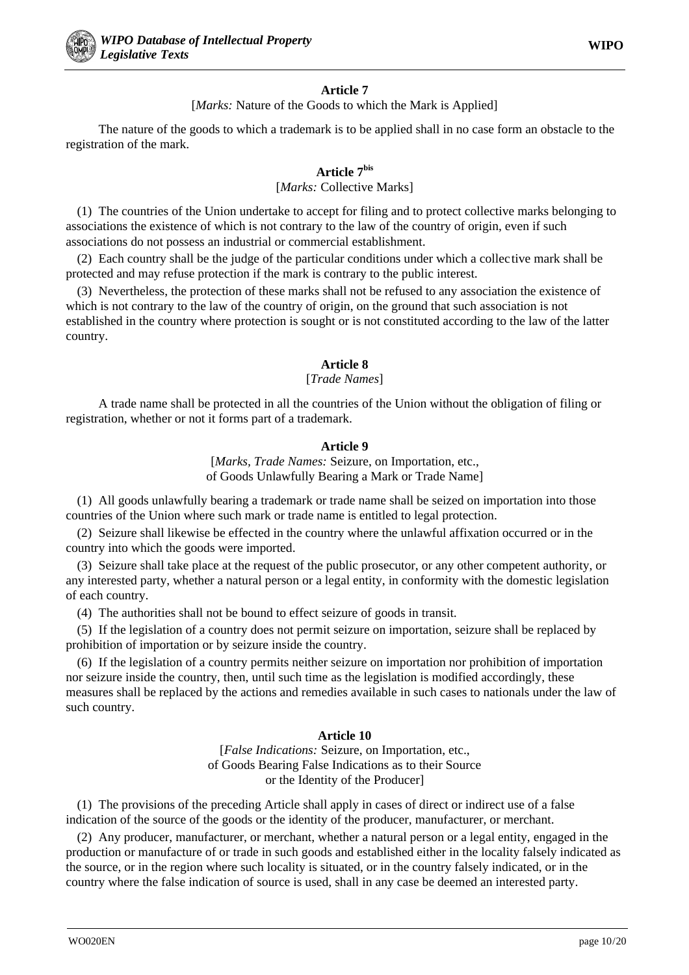[*Marks*: Nature of the Goods to which the Mark is Applied]

The nature of the goods to which a trademark is to be applied shall in no case form an obstacle to the registration of the mark.

# **Article 7bis**

# [*Marks:* Collective Marks]

(1) The countries of the Union undertake to accept for filing and to protect collective marks belonging to associations the existence of which is not contrary to the law of the country of origin, even if such associations do not possess an industrial or commercial establishment.

(2) Each country shall be the judge of the particular conditions under which a collective mark shall be protected and may refuse protection if the mark is contrary to the public interest.

(3) Nevertheless, the protection of these marks shall not be refused to any association the existence of which is not contrary to the law of the country of origin, on the ground that such association is not established in the country where protection is sought or is not constituted according to the law of the latter country.

# **Article 8**

# [*Trade Names*]

A trade name shall be protected in all the countries of the Union without the obligation of filing or registration, whether or not it forms part of a trademark.

# **Article 9**

#### [*Marks, Trade Names:* Seizure, on Importation, etc., of Goods Unlawfully Bearing a Mark or Trade Name]

(1) All goods unlawfully bearing a trademark or trade name shall be seized on importation into those countries of the Union where such mark or trade name is entitled to legal protection.

(2) Seizure shall likewise be effected in the country where the unlawful affixation occurred or in the country into which the goods were imported.

(3) Seizure shall take place at the request of the public prosecutor, or any other competent authority, or any interested party, whether a natural person or a legal entity, in conformity with the domestic legislation of each country.

(4) The authorities shall not be bound to effect seizure of goods in transit.

(5) If the legislation of a country does not permit seizure on importation, seizure shall be replaced by prohibition of importation or by seizure inside the country.

(6) If the legislation of a country permits neither seizure on importation nor prohibition of importation nor seizure inside the country, then, until such time as the legislation is modified accordingly, these measures shall be replaced by the actions and remedies available in such cases to nationals under the law of such country.

# **Article 10**

[*False Indications:* Seizure, on Importation, etc., of Goods Bearing False Indications as to their Source or the Identity of the Producer]

(1) The provisions of the preceding Article shall apply in cases of direct or indirect use of a false indication of the source of the goods or the identity of the producer, manufacturer, or merchant.

(2) Any producer, manufacturer, or merchant, whether a natural person or a legal entity, engaged in the production or manufacture of or trade in such goods and established either in the locality falsely indicated as the source, or in the region where such locality is situated, or in the country falsely indicated, or in the country where the false indication of source is used, shall in any case be deemed an interested party.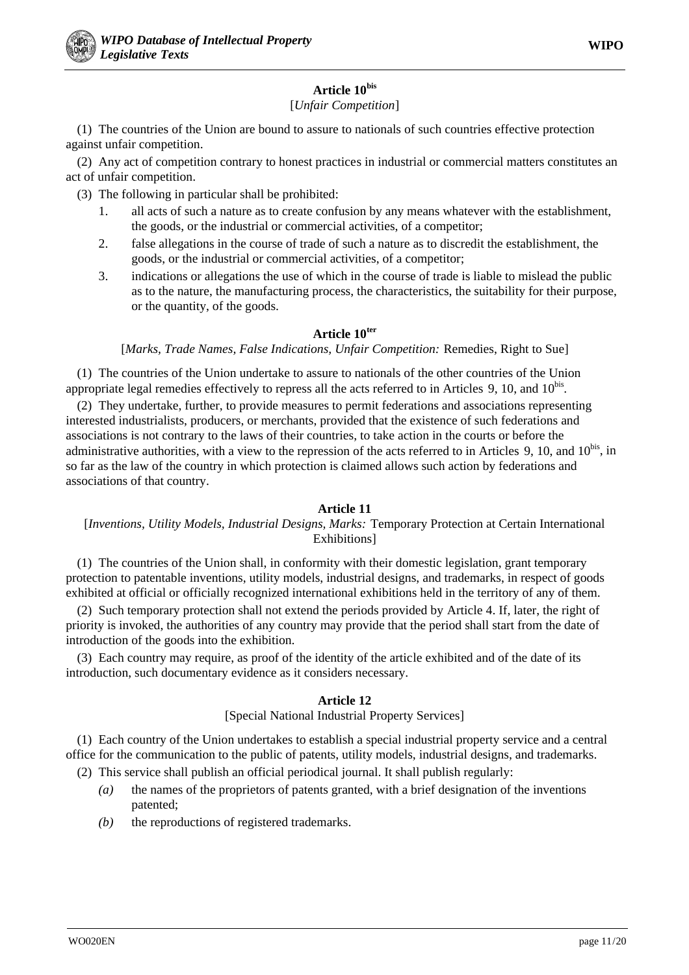# **Article 10bis** [*Unfair Competition*]

(1) The countries of the Union are bound to assure to nationals of such countries effective protection against unfair competition.

(2) Any act of competition contrary to honest practices in industrial or commercial matters constitutes an act of unfair competition.

(3) The following in particular shall be prohibited:

- 1. all acts of such a nature as to create confusion by any means whatever with the establishment, the goods, or the industrial or commercial activities, of a competitor;
- 2. false allegations in the course of trade of such a nature as to discredit the establishment, the goods, or the industrial or commercial activities, of a competitor;
- 3. indications or allegations the use of which in the course of trade is liable to mislead the public as to the nature, the manufacturing process, the characteristics, the suitability for their purpose, or the quantity, of the goods.

# **Article 10ter**

[*Marks, Trade Names, False Indications, Unfair Competition:* Remedies, Right to Sue]

(1) The countries of the Union undertake to assure to nationals of the other countries of the Union appropriate legal remedies effectively to repress all the acts referred to in Articles 9, 10, and  $10^{bis}$ .

(2) They undertake, further, to provide measures to permit federations and associations representing interested industrialists, producers, or merchants, provided that the existence of such federations and associations is not contrary to the laws of their countries, to take action in the courts or before the administrative authorities, with a view to the repression of the acts referred to in Articles 9, 10, and  $10^{\text{bis}}$ , in so far as the law of the country in which protection is claimed allows such action by federations and associations of that country.

# **Article 11**

# [*Inventions, Utility Models, Industrial Designs, Marks:* Temporary Protection at Certain International Exhibitions]

(1) The countries of the Union shall, in conformity with their domestic legislation, grant temporary protection to patentable inventions, utility models, industrial designs, and trademarks, in respect of goods exhibited at official or officially recognized international exhibitions held in the territory of any of them.

(2) Such temporary protection shall not extend the periods provided by Article 4. If, later, the right of priority is invoked, the authorities of any country may provide that the period shall start from the date of introduction of the goods into the exhibition.

(3) Each country may require, as proof of the identity of the article exhibited and of the date of its introduction, such documentary evidence as it considers necessary.

# **Article 12**

# [Special National Industrial Property Services]

(1) Each country of the Union undertakes to establish a special industrial property service and a central office for the communication to the public of patents, utility models, industrial designs, and trademarks.

- (2) This service shall publish an official periodical journal. It shall publish regularly:
	- *(a)* the names of the proprietors of patents granted, with a brief designation of the inventions patented;
	- *(b)* the reproductions of registered trademarks.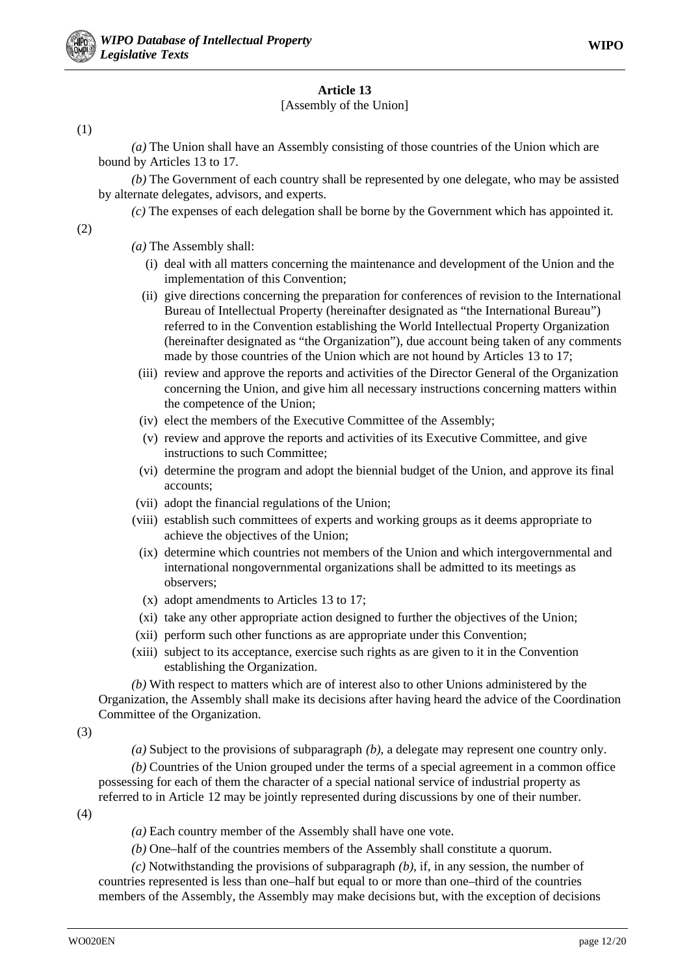# [Assembly of the Union]

(1)

*(a)* The Union shall have an Assembly consisting of those countries of the Union which are bound by Articles 13 to 17.

*(b)* The Government of each country shall be represented by one delegate, who may be assisted by alternate delegates, advisors, and experts.

*(c)* The expenses of each delegation shall be borne by the Government which has appointed it.

(2)

- *(a)* The Assembly shall:
	- (i) deal with all matters concerning the maintenance and development of the Union and the implementation of this Convention;
	- (ii) give directions concerning the preparation for conferences of revision to the International Bureau of Intellectual Property (hereinafter designated as "the International Bureau") referred to in the Convention establishing the World Intellectual Property Organization (hereinafter designated as "the Organization"), due account being taken of any comments made by those countries of the Union which are not hound by Articles 13 to 17;
	- (iii) review and approve the reports and activities of the Director General of the Organization concerning the Union, and give him all necessary instructions concerning matters within the competence of the Union;
	- (iv) elect the members of the Executive Committee of the Assembly;
	- (v) review and approve the reports and activities of its Executive Committee, and give instructions to such Committee;
	- (vi) determine the program and adopt the biennial budget of the Union, and approve its final accounts;
- (vii) adopt the financial regulations of the Union;
- (viii) establish such committees of experts and working groups as it deems appropriate to achieve the objectives of the Union;
- (ix) determine which countries not members of the Union and which intergovernmental and international nongovernmental organizations shall be admitted to its meetings as observers;
- (x) adopt amendments to Articles 13 to 17;
- (xi) take any other appropriate action designed to further the objectives of the Union;
- (xii) perform such other functions as are appropriate under this Convention;
- (xiii) subject to its acceptance, exercise such rights as are given to it in the Convention establishing the Organization.

*(b)* With respect to matters which are of interest also to other Unions administered by the Organization, the Assembly shall make its decisions after having heard the advice of the Coordination Committee of the Organization.

(3)

*(a)* Subject to the provisions of subparagraph *(b)*, a delegate may represent one country only.

*(b)* Countries of the Union grouped under the terms of a special agreement in a common office possessing for each of them the character of a special national service of industrial property as referred to in Article 12 may be jointly represented during discussions by one of their number.

(4)

*(a)* Each country member of the Assembly shall have one vote.

*(b)* One–half of the countries members of the Assembly shall constitute a quorum.

*(c)* Notwithstanding the provisions of subparagraph *(b)*, if, in any session, the number of countries represented is less than one–half but equal to or more than one–third of the countries members of the Assembly, the Assembly may make decisions but, with the exception of decisions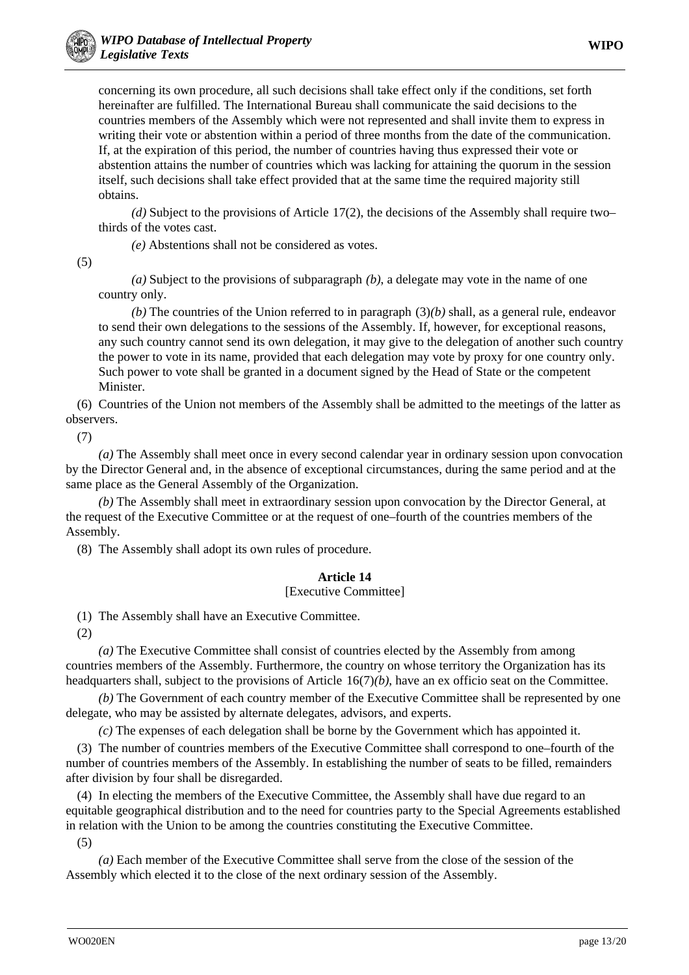concerning its own procedure, all such decisions shall take effect only if the conditions, set forth hereinafter are fulfilled. The International Bureau shall communicate the said decisions to the countries members of the Assembly which were not represented and shall invite them to express in writing their vote or abstention within a period of three months from the date of the communication. If, at the expiration of this period, the number of countries having thus expressed their vote or abstention attains the number of countries which was lacking for attaining the quorum in the session itself, such decisions shall take effect provided that at the same time the required majority still obtains.

*(d)* Subject to the provisions of Article 17(2), the decisions of the Assembly shall require two– thirds of the votes cast.

*(e)* Abstentions shall not be considered as votes.

(5)

*(a)* Subject to the provisions of subparagraph *(b)*, a delegate may vote in the name of one country only.

*(b)* The countries of the Union referred to in paragraph (3)*(b)* shall, as a general rule, endeavor to send their own delegations to the sessions of the Assembly. If, however, for exceptional reasons, any such country cannot send its own delegation, it may give to the delegation of another such country the power to vote in its name, provided that each delegation may vote by proxy for one country only. Such power to vote shall be granted in a document signed by the Head of State or the competent Minister.

(6) Countries of the Union not members of the Assembly shall be admitted to the meetings of the latter as observers.

(7)

*(a)* The Assembly shall meet once in every second calendar year in ordinary session upon convocation by the Director General and, in the absence of exceptional circumstances, during the same period and at the same place as the General Assembly of the Organization.

*(b)* The Assembly shall meet in extraordinary session upon convocation by the Director General, at the request of the Executive Committee or at the request of one–fourth of the countries members of the Assembly.

(8) The Assembly shall adopt its own rules of procedure.

# **Article 14**

## [Executive Committee]

(1) The Assembly shall have an Executive Committee.

(2)

*(a)* The Executive Committee shall consist of countries elected by the Assembly from among countries members of the Assembly. Furthermore, the country on whose territory the Organization has its headquarters shall, subject to the provisions of Article 16(7)*(b)*, have an ex officio seat on the Committee.

*(b)* The Government of each country member of the Executive Committee shall be represented by one delegate, who may be assisted by alternate delegates, advisors, and experts.

*(c)* The expenses of each delegation shall be borne by the Government which has appointed it.

(3) The number of countries members of the Executive Committee shall correspond to one–fourth of the number of countries members of the Assembly. In establishing the number of seats to be filled, remainders after division by four shall be disregarded.

(4) In electing the members of the Executive Committee, the Assembly shall have due regard to an equitable geographical distribution and to the need for countries party to the Special Agreements established in relation with the Union to be among the countries constituting the Executive Committee.

(5)

*(a)* Each member of the Executive Committee shall serve from the close of the session of the Assembly which elected it to the close of the next ordinary session of the Assembly.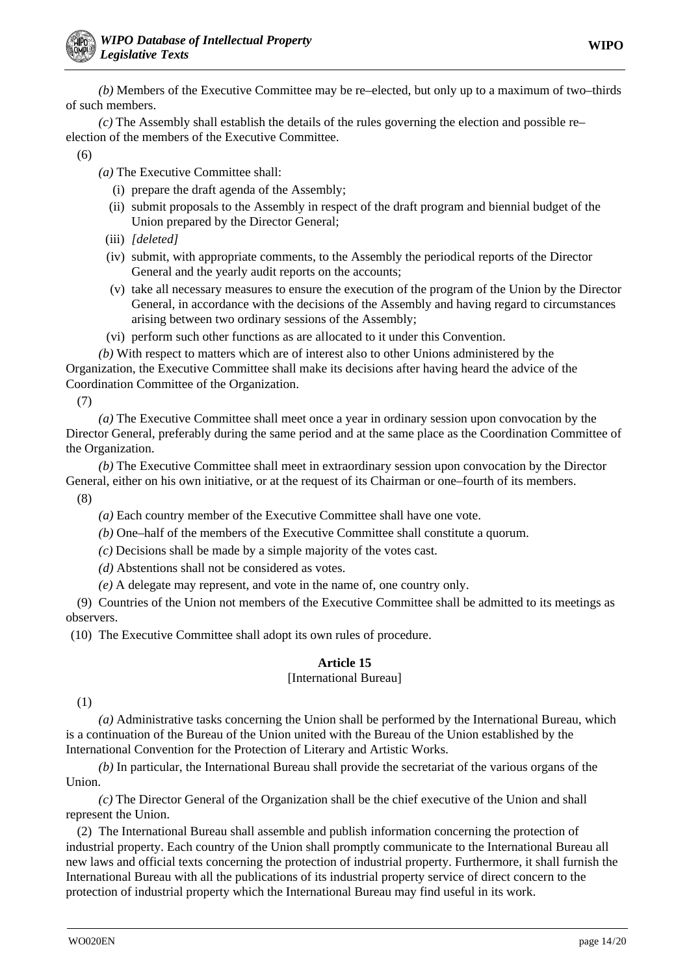*(b)* Members of the Executive Committee may be re–elected, but only up to a maximum of two–thirds of such members.

*(c)* The Assembly shall establish the details of the rules governing the election and possible re– election of the members of the Executive Committee.

(6)

*(a)* The Executive Committee shall:

- (i) prepare the draft agenda of the Assembly;
- (ii) submit proposals to the Assembly in respect of the draft program and biennial budget of the Union prepared by the Director General;
- (iii) *[deleted]*
- (iv) submit, with appropriate comments, to the Assembly the periodical reports of the Director General and the yearly audit reports on the accounts;
- (v) take all necessary measures to ensure the execution of the program of the Union by the Director General, in accordance with the decisions of the Assembly and having regard to circumstances arising between two ordinary sessions of the Assembly;
- (vi) perform such other functions as are allocated to it under this Convention.

*(b)* With respect to matters which are of interest also to other Unions administered by the Organization, the Executive Committee shall make its decisions after having heard the advice of the Coordination Committee of the Organization.

(7)

*(a)* The Executive Committee shall meet once a year in ordinary session upon convocation by the Director General, preferably during the same period and at the same place as the Coordination Committee of the Organization.

*(b)* The Executive Committee shall meet in extraordinary session upon convocation by the Director General, either on his own initiative, or at the request of its Chairman or one–fourth of its members.

(8)

*(a)* Each country member of the Executive Committee shall have one vote.

*(b)* One–half of the members of the Executive Committee shall constitute a quorum.

*(c)* Decisions shall be made by a simple majority of the votes cast.

*(d)* Abstentions shall not be considered as votes.

*(e)* A delegate may represent, and vote in the name of, one country only.

(9) Countries of the Union not members of the Executive Committee shall be admitted to its meetings as observers.

(10) The Executive Committee shall adopt its own rules of procedure.

# **Article 15**

# [International Bureau]

(1)

*(a)* Administrative tasks concerning the Union shall be performed by the International Bureau, which is a continuation of the Bureau of the Union united with the Bureau of the Union established by the International Convention for the Protection of Literary and Artistic Works.

*(b)* In particular, the International Bureau shall provide the secretariat of the various organs of the Union.

*(c)* The Director General of the Organization shall be the chief executive of the Union and shall represent the Union.

(2) The International Bureau shall assemble and publish information concerning the protection of industrial property. Each country of the Union shall promptly communicate to the International Bureau all new laws and official texts concerning the protection of industrial property. Furthermore, it shall furnish the International Bureau with all the publications of its industrial property service of direct concern to the protection of industrial property which the International Bureau may find useful in its work.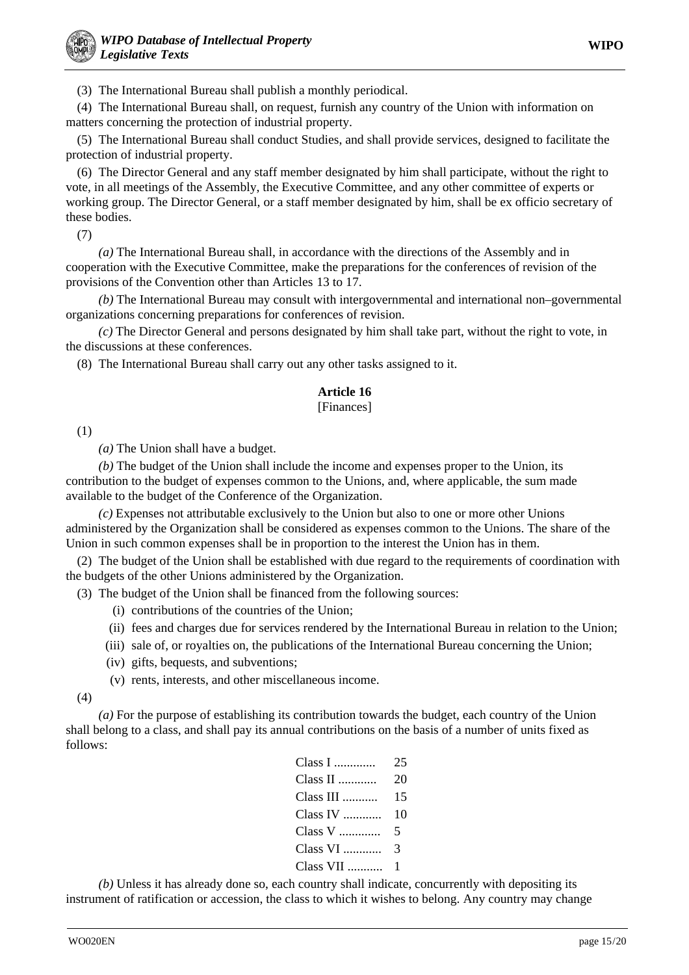(3) The International Bureau shall publish a monthly periodical.

(4) The International Bureau shall, on request, furnish any country of the Union with information on matters concerning the protection of industrial property.

(5) The International Bureau shall conduct Studies, and shall provide services, designed to facilitate the protection of industrial property.

(6) The Director General and any staff member designated by him shall participate, without the right to vote, in all meetings of the Assembly, the Executive Committee, and any other committee of experts or working group. The Director General, or a staff member designated by him, shall be ex officio secretary of these bodies.

(7)

*(a)* The International Bureau shall, in accordance with the directions of the Assembly and in cooperation with the Executive Committee, make the preparations for the conferences of revision of the provisions of the Convention other than Articles 13 to 17.

*(b)* The International Bureau may consult with intergovernmental and international non–governmental organizations concerning preparations for conferences of revision.

*(c)* The Director General and persons designated by him shall take part, without the right to vote, in the discussions at these conferences.

(8) The International Bureau shall carry out any other tasks assigned to it.

# **Article 16**

#### [Finances]

(1)

*(a)* The Union shall have a budget.

*(b)* The budget of the Union shall include the income and expenses proper to the Union, its contribution to the budget of expenses common to the Unions, and, where applicable, the sum made available to the budget of the Conference of the Organization.

*(c)* Expenses not attributable exclusively to the Union but also to one or more other Unions administered by the Organization shall be considered as expenses common to the Unions. The share of the Union in such common expenses shall be in proportion to the interest the Union has in them.

(2) The budget of the Union shall be established with due regard to the requirements of coordination with the budgets of the other Unions administered by the Organization.

(3) The budget of the Union shall be financed from the following sources:

- (i) contributions of the countries of the Union;
- (ii) fees and charges due for services rendered by the International Bureau in relation to the Union;
- (iii) sale of, or royalties on, the publications of the International Bureau concerning the Union;
- (iv) gifts, bequests, and subventions;
- (v) rents, interests, and other miscellaneous income.

(4)

*(a)* For the purpose of establishing its contribution towards the budget, each country of the Union shall belong to a class, and shall pay its annual contributions on the basis of a number of units fixed as follows:

> Class I ............. 25 Class II ............ 20 Class III ........... 15 Class IV ............ 10 Class V ............. 5 Class VI ............ 3 Class VII ........... 1

*(b)* Unless it has already done so, each country shall indicate, concurrently with depositing its instrument of ratification or accession, the class to which it wishes to belong. Any country may change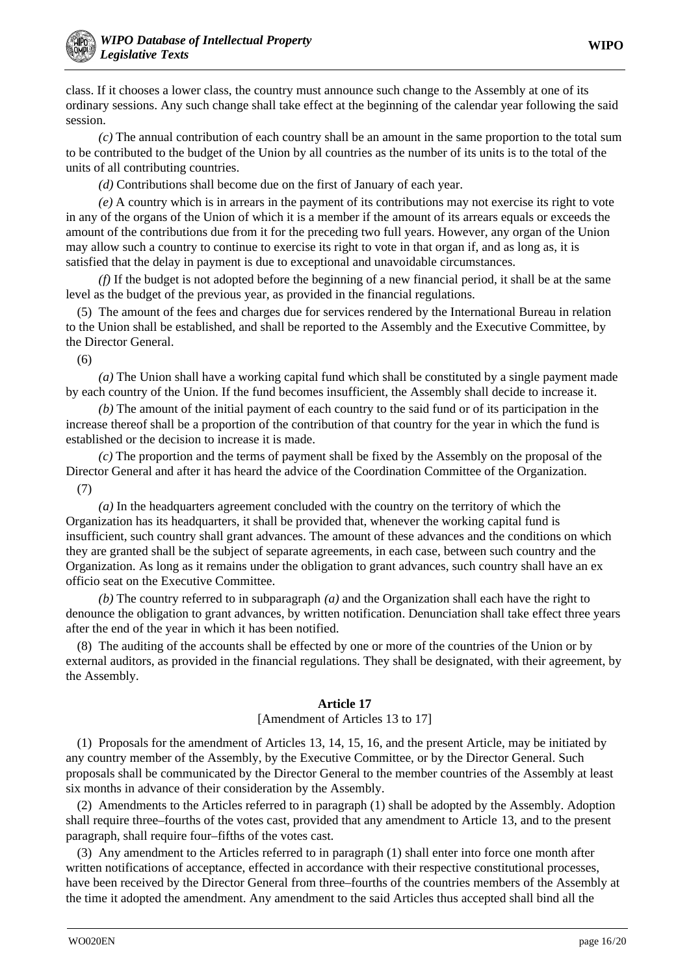class. If it chooses a lower class, the country must announce such change to the Assembly at one of its ordinary sessions. Any such change shall take effect at the beginning of the calendar year following the said session.

*(c)* The annual contribution of each country shall be an amount in the same proportion to the total sum to be contributed to the budget of the Union by all countries as the number of its units is to the total of the units of all contributing countries.

*(d)* Contributions shall become due on the first of January of each year.

*(e)* A country which is in arrears in the payment of its contributions may not exercise its right to vote in any of the organs of the Union of which it is a member if the amount of its arrears equals or exceeds the amount of the contributions due from it for the preceding two full years. However, any organ of the Union may allow such a country to continue to exercise its right to vote in that organ if, and as long as, it is satisfied that the delay in payment is due to exceptional and unavoidable circumstances.

*(f)* If the budget is not adopted before the beginning of a new financial period, it shall be at the same level as the budget of the previous year, as provided in the financial regulations.

(5) The amount of the fees and charges due for services rendered by the International Bureau in relation to the Union shall be established, and shall be reported to the Assembly and the Executive Committee, by the Director General.

(6)

*(a)* The Union shall have a working capital fund which shall be constituted by a single payment made by each country of the Union. If the fund becomes insufficient, the Assembly shall decide to increase it.

*(b)* The amount of the initial payment of each country to the said fund or of its participation in the increase thereof shall be a proportion of the contribution of that country for the year in which the fund is established or the decision to increase it is made.

*(c)* The proportion and the terms of payment shall be fixed by the Assembly on the proposal of the Director General and after it has heard the advice of the Coordination Committee of the Organization.

(7)

*(a)* In the headquarters agreement concluded with the country on the territory of which the Organization has its headquarters, it shall be provided that, whenever the working capital fund is insufficient, such country shall grant advances. The amount of these advances and the conditions on which they are granted shall be the subject of separate agreements, in each case, between such country and the Organization. As long as it remains under the obligation to grant advances, such country shall have an ex officio seat on the Executive Committee.

*(b)* The country referred to in subparagraph *(a)* and the Organization shall each have the right to denounce the obligation to grant advances, by written notification. Denunciation shall take effect three years after the end of the year in which it has been notified.

(8) The auditing of the accounts shall be effected by one or more of the countries of the Union or by external auditors, as provided in the financial regulations. They shall be designated, with their agreement, by the Assembly.

## **Article 17**

## [Amendment of Articles 13 to 17]

(1) Proposals for the amendment of Articles 13, 14, 15, 16, and the present Article, may be initiated by any country member of the Assembly, by the Executive Committee, or by the Director General. Such proposals shall be communicated by the Director General to the member countries of the Assembly at least six months in advance of their consideration by the Assembly.

(2) Amendments to the Articles referred to in paragraph (1) shall be adopted by the Assembly. Adoption shall require three–fourths of the votes cast, provided that any amendment to Article 13, and to the present paragraph, shall require four–fifths of the votes cast.

(3) Any amendment to the Articles referred to in paragraph (1) shall enter into force one month after written notifications of acceptance, effected in accordance with their respective constitutional processes, have been received by the Director General from three–fourths of the countries members of the Assembly at the time it adopted the amendment. Any amendment to the said Articles thus accepted shall bind all the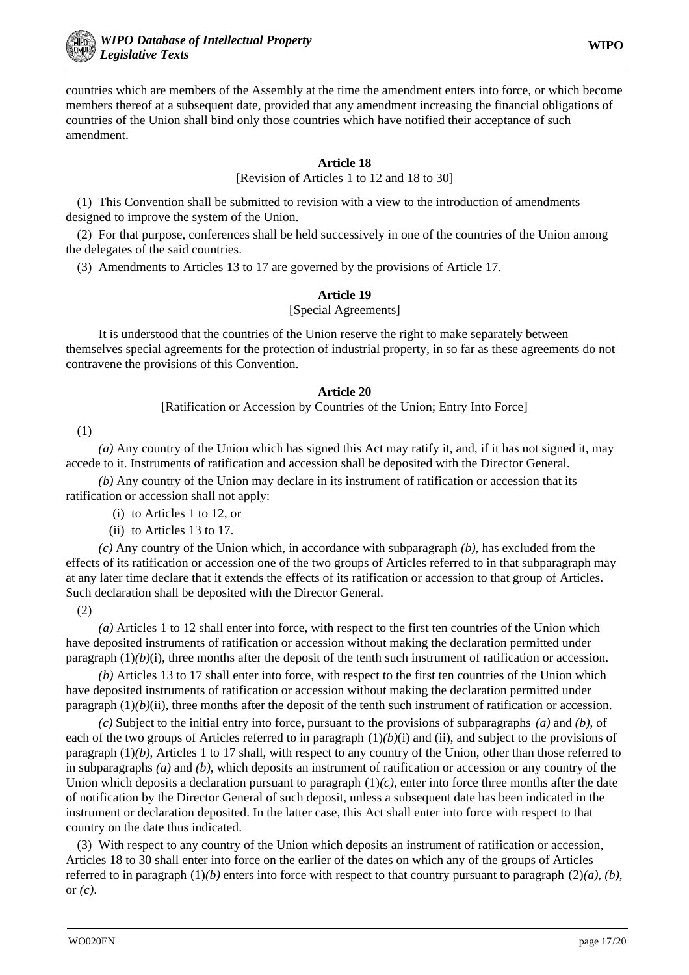

countries which are members of the Assembly at the time the amendment enters into force, or which become members thereof at a subsequent date, provided that any amendment increasing the financial obligations of countries of the Union shall bind only those countries which have notified their acceptance of such amendment.

## **Article 18**

#### [Revision of Articles 1 to 12 and 18 to 30]

(1) This Convention shall be submitted to revision with a view to the introduction of amendments designed to improve the system of the Union.

(2) For that purpose, conferences shall be held successively in one of the countries of the Union among the delegates of the said countries.

(3) Amendments to Articles 13 to 17 are governed by the provisions of Article 17.

# **Article 19**

## [Special Agreements]

It is understood that the countries of the Union reserve the right to make separately between themselves special agreements for the protection of industrial property, in so far as these agreements do not contravene the provisions of this Convention.

#### **Article 20**

[Ratification or Accession by Countries of the Union; Entry Into Force]

(1)

*(a)* Any country of the Union which has signed this Act may ratify it, and, if it has not signed it, may accede to it. Instruments of ratification and accession shall be deposited with the Director General.

*(b)* Any country of the Union may declare in its instrument of ratification or accession that its ratification or accession shall not apply:

(i) to Articles 1 to 12, or

(ii) to Articles 13 to 17.

*(c)* Any country of the Union which, in accordance with subparagraph *(b)*, has excluded from the effects of its ratification or accession one of the two groups of Articles referred to in that subparagraph may at any later time declare that it extends the effects of its ratification or accession to that group of Articles. Such declaration shall be deposited with the Director General.

 $(2)$ 

*(a)* Articles 1 to 12 shall enter into force, with respect to the first ten countries of the Union which have deposited instruments of ratification or accession without making the declaration permitted under paragraph  $(1)(b)(i)$ , three months after the deposit of the tenth such instrument of ratification or accession.

*(b)* Articles 13 to 17 shall enter into force, with respect to the first ten countries of the Union which have deposited instruments of ratification or accession without making the declaration permitted under paragraph  $(1)(b)(ii)$ , three months after the deposit of the tenth such instrument of ratification or accession.

*(c)* Subject to the initial entry into force, pursuant to the provisions of subparagraphs *(a)* and *(b)*, of each of the two groups of Articles referred to in paragraph  $(1)(b)(i)$  and  $(ii)$ , and subject to the provisions of paragraph (1)*(b)*, Articles 1 to 17 shall, with respect to any country of the Union, other than those referred to in subparagraphs *(a)* and *(b)*, which deposits an instrument of ratification or accession or any country of the Union which deposits a declaration pursuant to paragraph  $(1)(c)$ , enter into force three months after the date of notification by the Director General of such deposit, unless a subsequent date has been indicated in the instrument or declaration deposited. In the latter case, this Act shall enter into force with respect to that country on the date thus indicated.

(3) With respect to any country of the Union which deposits an instrument of ratification or accession, Articles 18 to 30 shall enter into force on the earlier of the dates on which any of the groups of Articles referred to in paragraph  $(1)(b)$  enters into force with respect to that country pursuant to paragraph  $(2)(a)$ ,  $(b)$ , or *(c)*.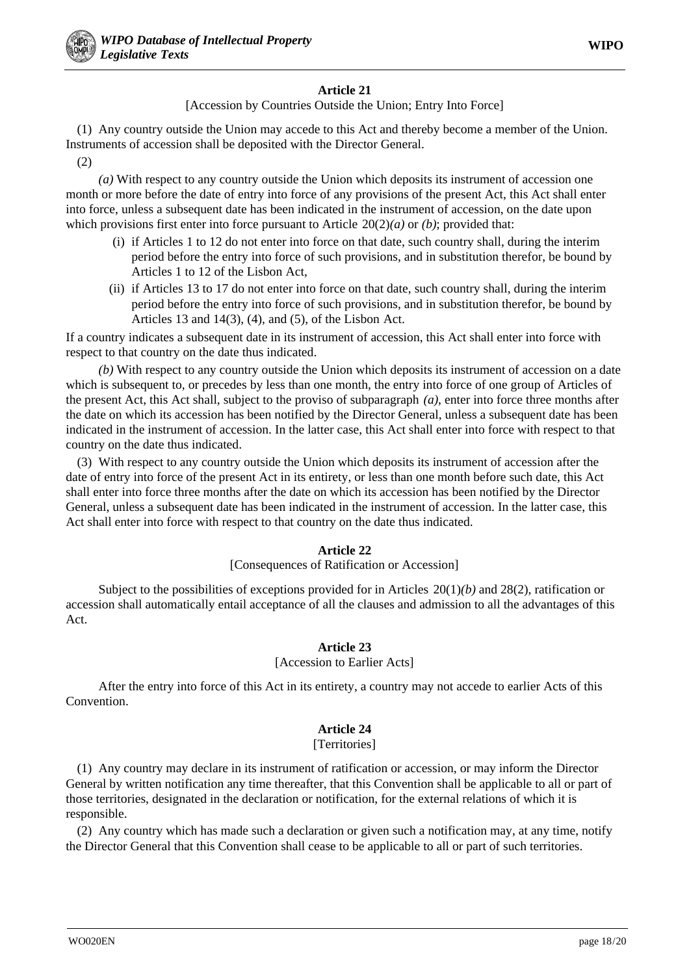[Accession by Countries Outside the Union; Entry Into Force]

(1) Any country outside the Union may accede to this Act and thereby become a member of the Union. Instruments of accession shall be deposited with the Director General.

(2)

*(a)* With respect to any country outside the Union which deposits its instrument of accession one month or more before the date of entry into force of any provisions of the present Act, this Act shall enter into force, unless a subsequent date has been indicated in the instrument of accession, on the date upon which provisions first enter into force pursuant to Article 20(2)*(a)* or *(b)*; provided that:

- (i) if Articles 1 to 12 do not enter into force on that date, such country shall, during the interim period before the entry into force of such provisions, and in substitution therefor, be bound by Articles 1 to 12 of the Lisbon Act,
- (ii) if Articles 13 to 17 do not enter into force on that date, such country shall, during the interim period before the entry into force of such provisions, and in substitution therefor, be bound by Articles 13 and  $14(3)$ ,  $(4)$ , and  $(5)$ , of the Lisbon Act.

If a country indicates a subsequent date in its instrument of accession, this Act shall enter into force with respect to that country on the date thus indicated.

*(b)* With respect to any country outside the Union which deposits its instrument of accession on a date which is subsequent to, or precedes by less than one month, the entry into force of one group of Articles of the present Act, this Act shall, subject to the proviso of subparagraph *(a)*, enter into force three months after the date on which its accession has been notified by the Director General, unless a subsequent date has been indicated in the instrument of accession. In the latter case, this Act shall enter into force with respect to that country on the date thus indicated.

(3) With respect to any country outside the Union which deposits its instrument of accession after the date of entry into force of the present Act in its entirety, or less than one month before such date, this Act shall enter into force three months after the date on which its accession has been notified by the Director General, unless a subsequent date has been indicated in the instrument of accession. In the latter case, this Act shall enter into force with respect to that country on the date thus indicated.

# **Article 22**

## [Consequences of Ratification or Accession]

Subject to the possibilities of exceptions provided for in Articles 20(1)*(b)* and 28(2), ratification or accession shall automatically entail acceptance of all the clauses and admission to all the advantages of this Act.

## **Article 23**

## [Accession to Earlier Acts]

After the entry into force of this Act in its entirety, a country may not accede to earlier Acts of this Convention.

# **Article 24**

## [Territories]

(1) Any country may declare in its instrument of ratification or accession, or may inform the Director General by written notification any time thereafter, that this Convention shall be applicable to all or part of those territories, designated in the declaration or notification, for the external relations of which it is responsible.

(2) Any country which has made such a declaration or given such a notification may, at any time, notify the Director General that this Convention shall cease to be applicable to all or part of such territories.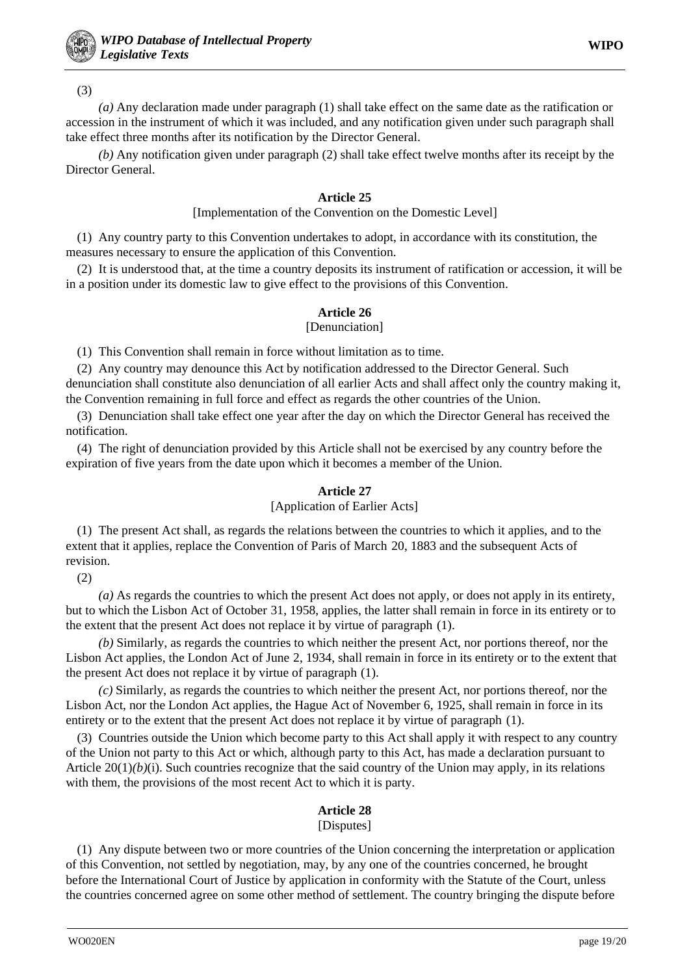(3)

*(a)* Any declaration made under paragraph (1) shall take effect on the same date as the ratification or accession in the instrument of which it was included, and any notification given under such paragraph shall take effect three months after its notification by the Director General.

*(b)* Any notification given under paragraph (2) shall take effect twelve months after its receipt by the Director General.

#### **Article 25**

#### [Implementation of the Convention on the Domestic Level]

(1) Any country party to this Convention undertakes to adopt, in accordance with its constitution, the measures necessary to ensure the application of this Convention.

(2) It is understood that, at the time a country deposits its instrument of ratification or accession, it will be in a position under its domestic law to give effect to the provisions of this Convention.

# **Article 26**

#### [Denunciation]

(1) This Convention shall remain in force without limitation as to time.

(2) Any country may denounce this Act by notification addressed to the Director General. Such denunciation shall constitute also denunciation of all earlier Acts and shall affect only the country making it, the Convention remaining in full force and effect as regards the other countries of the Union.

(3) Denunciation shall take effect one year after the day on which the Director General has received the notification.

(4) The right of denunciation provided by this Article shall not be exercised by any country before the expiration of five years from the date upon which it becomes a member of the Union.

#### **Article 27**

#### [Application of Earlier Acts]

(1) The present Act shall, as regards the relations between the countries to which it applies, and to the extent that it applies, replace the Convention of Paris of March 20, 1883 and the subsequent Acts of revision.

(2)

*(a)* As regards the countries to which the present Act does not apply, or does not apply in its entirety, but to which the Lisbon Act of October 31, 1958, applies, the latter shall remain in force in its entirety or to the extent that the present Act does not replace it by virtue of paragraph (1).

*(b)* Similarly, as regards the countries to which neither the present Act, nor portions thereof, nor the Lisbon Act applies, the London Act of June 2, 1934, shall remain in force in its entirety or to the extent that the present Act does not replace it by virtue of paragraph (1).

*(c)* Similarly, as regards the countries to which neither the present Act, nor portions thereof, nor the Lisbon Act, nor the London Act applies, the Hague Act of November 6, 1925, shall remain in force in its entirety or to the extent that the present Act does not replace it by virtue of paragraph (1).

(3) Countries outside the Union which become party to this Act shall apply it with respect to any country of the Union not party to this Act or which, although party to this Act, has made a declaration pursuant to Article  $20(1)(b)(i)$ . Such countries recognize that the said country of the Union may apply, in its relations with them, the provisions of the most recent Act to which it is party.

# **Article 28**

#### [Disputes]

(1) Any dispute between two or more countries of the Union concerning the interpretation or application of this Convention, not settled by negotiation, may, by any one of the countries concerned, he brought before the International Court of Justice by application in conformity with the Statute of the Court, unless the countries concerned agree on some other method of settlement. The country bringing the dispute before